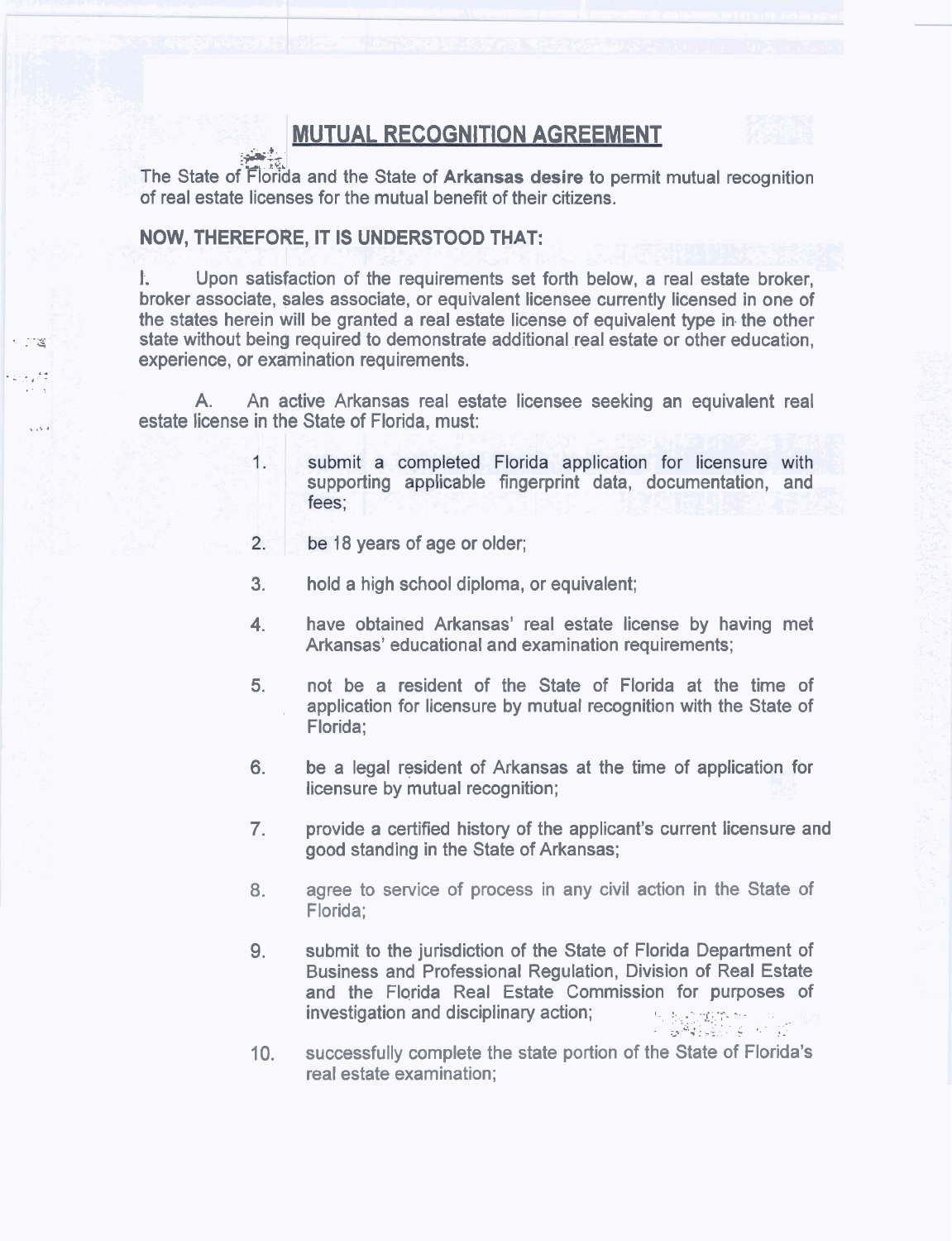## **MUTUAL RECOGNITION AGREEMENT**

The State of Florida and the State of Arkansas desire to permit mutual recognition of real estate licenses for the mutual benefit of their citizens.

## NOW, THEREFORE, IT IS UNDERSTOOD THAT:

 $\frac{1}{2}$ 

ಿತ

e sa la

Upon satisfaction of the requirements set forth below, a real estate broker, Ł. broker associate, sales associate, or equivalent licensee currently licensed in one of the states herein will be granted a real estate license of equivalent type in the other state without being required to demonstrate additional real estate or other education. experience, or examination requirements.

 $A_{-}$ An active Arkansas real estate licensee seeking an equivalent real estate license in the State of Florida, must:

- $1.$ submit a completed Florida application for licensure with supporting applicable fingerprint data, documentation, and fees;
- $\overline{2}$ . be 18 years of age or older;
- $3<sub>1</sub>$ hold a high school diploma, or equivalent;
- have obtained Arkansas' real estate license by having met  $4.$ Arkansas' educational and examination requirements:
- 5. not be a resident of the State of Florida at the time of application for licensure by mutual recognition with the State of Florida:
- be a legal resident of Arkansas at the time of application for 6. licensure by mutual recognition;
- 7. provide a certified history of the applicant's current licensure and good standing in the State of Arkansas;
- agree to service of process in any civil action in the State of 8. Florida:
- 9. submit to the jurisdiction of the State of Florida Department of Business and Professional Regulation, Division of Real Estate and the Florida Real Estate Commission for purposes of investigation and disciplinary action;
- successfully complete the state portion of the State of Florida's  $10.$ real estate examination;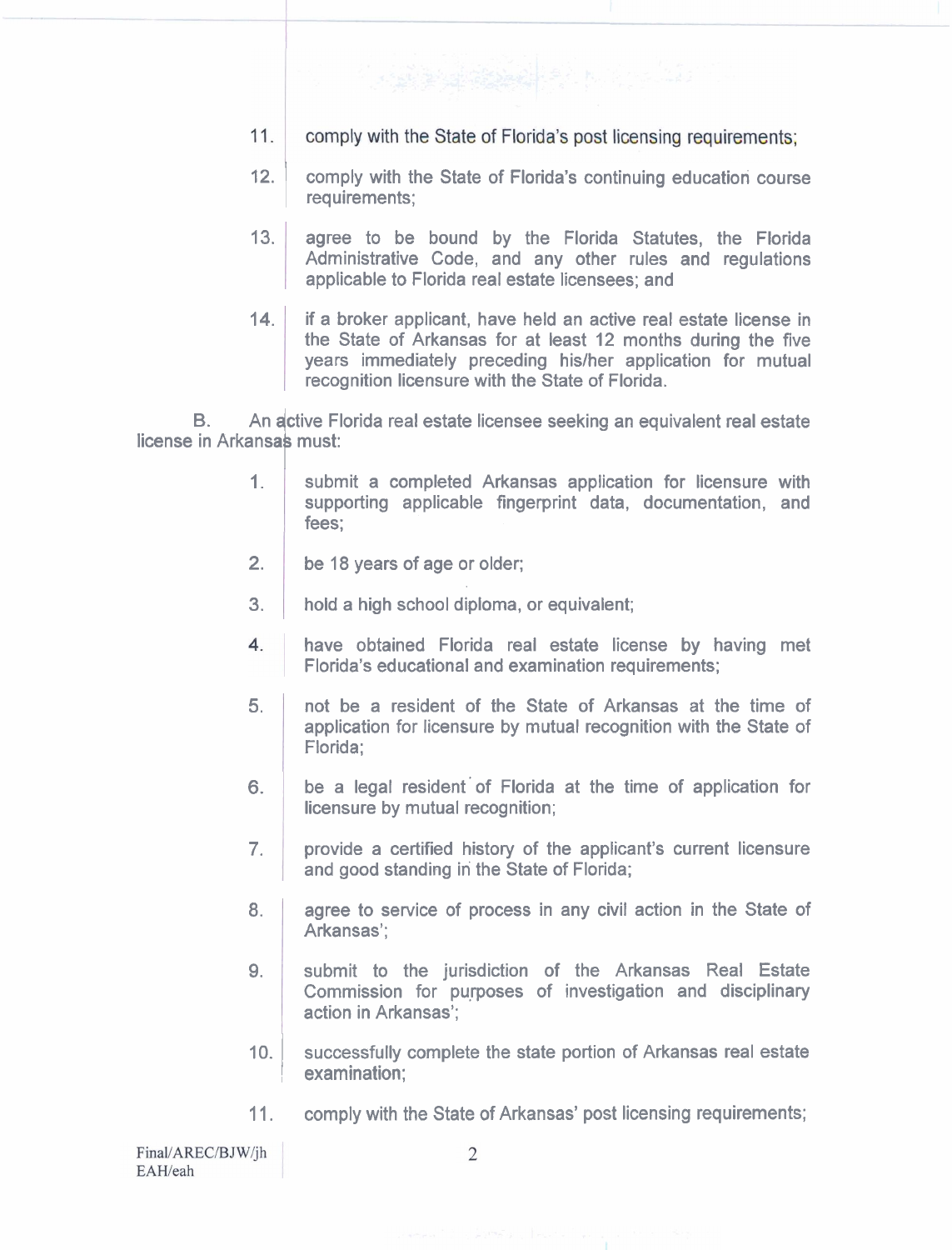- $11.$ comply with the State of Florida's post licensing requirements:
- 12. **Comply with the State of Florida's continuing education course** requirements;
- **13.**  agree to be bound by the Florida Statutes, the Florida Administrative Code, and any other rules and regulations applicable to Florida real estate licensees; and
- **14.** if a broker applicant, have held an active real estate license in the State of Arkansas for at least **12** months during the five years immediately preceding his/her application for mutual recognition licensure with the State of Florida.

B. An active Florida real estate licensee seeking an equivalent real estate license in Arkansas must:

- **1.**  submit a completed Arkansas application for licensure with supporting applicable fingerprint data, documentation, and fees;
- **2.**  be **18** years of age or older;
- **3.**  hold a high school diploma, or equivalent;
- have obtained Florida real estate license by having met 4. Florida's educational and examination requirements;
- **5.** not be a resident of the State of Arkansas at the time of application for licensure by mutual recognition with the State of Florida;
- **6.**  be a legal resident'of Florida at the time of application for licensure by mutual recognition;
- **7.**  provide a certified history of the applicant's current licensure and good standing in the State of Florida;
- **8.**  agree to service of process in any civil action in the State of Arkansas';
- **9.**  submit to the jurisdiction of the Arkansas Real Estate Commission for purposes of investigation and disciplinary action in Arkansas';
- 10. Successfully complete the state portion of Arkansas real estate , examination;
- **11.** comply with the State of Arkansas' post licensing requirements;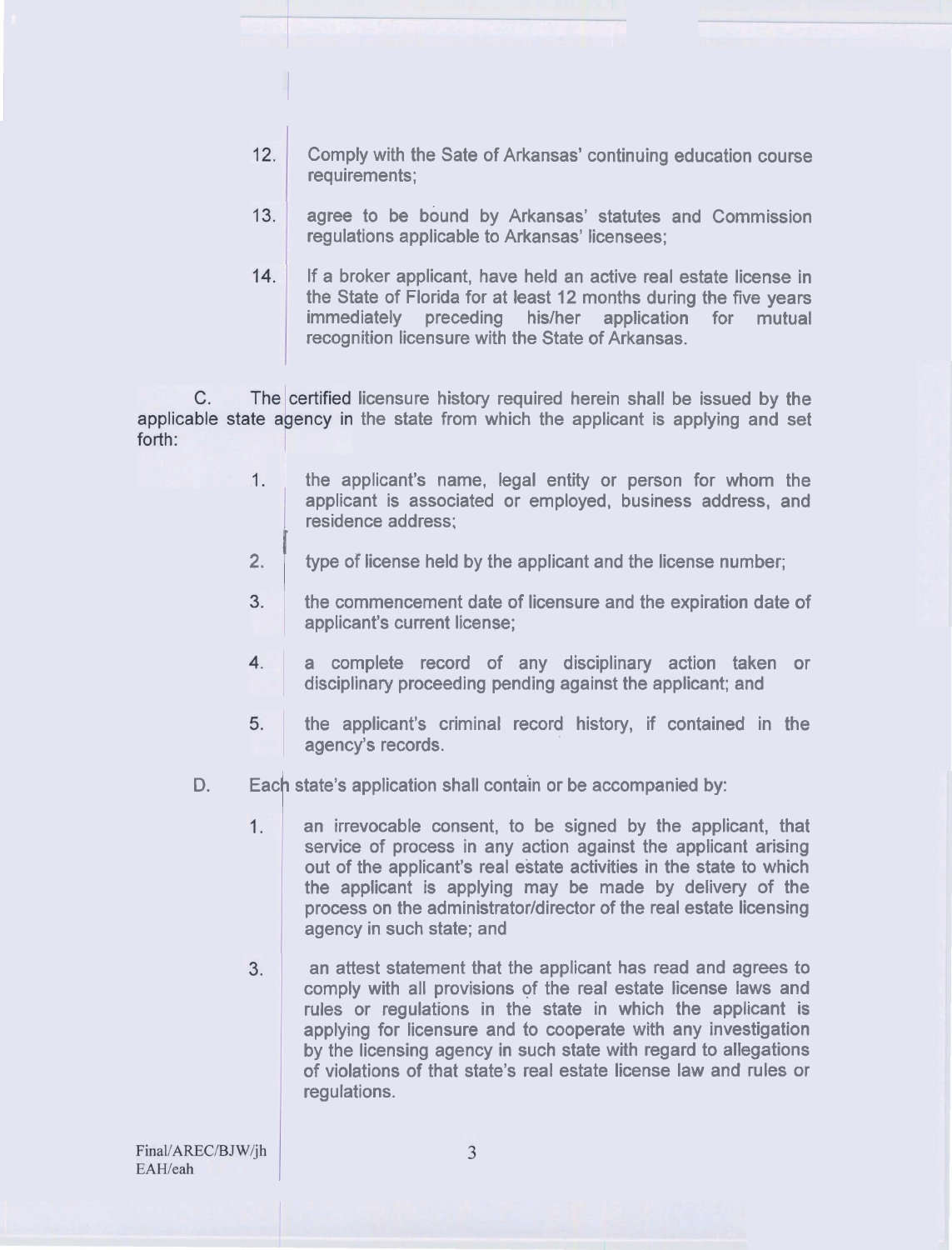- $12.$ Comply with the Sate of Arkansas' continuing education course requirements;
- $13.$ agree to be bound by Arkansas' statutes and Commission regulations applicable to Arkansas' licensees;
- $14.$ If a broker applicant, have held an active real estate license in the State of Florida for at least **12** months during the five years immediately preceding his/her application for mutual recognition licensure with the State of Arkansas.

 $C_{\cdot}$ The certified licensure history required herein shall be issued by the applicable state agency in the state from which the applicant is applying and set forth:

- the applicant's name, legal entity or person for whom the  $1.$ applicant is associated or employed, business address, and residence address:
	- **2.** I type of license held by the applicant and the license number;
	- $3<sup>1</sup>$ the commencement date of licensure and the expiration date of applicant's current license;
	- $4.$ a complete record of any disciplinary action taken or disciplinary proceeding pending against the applicant; and
	- 5. the applicant's criminal record history, if contained in the agency's records.
- D. Each state's application shall contain or be accompanied by:<br>1. The anticre and intervocable consent, to be signed by the applicant
	- an irrevocable consent, to be signed by the applicant, that service of process in any action against the applicant arising out of the applicant's real estate activities in the state to which the applicant is applying may be made by delivery of the process on the administrator/director of the real estate licensing agency in such state; and
	- an attest statement that the applicant has read and agrees to  $3.$ comply with all provisions of the real estate license laws and rules or regulations in the state in which the applicant is applying for licensure and to cooperate with any investigation by the licensing agency in such state with regard to allegations of violations of that state's real estate license law and rules or regulations.